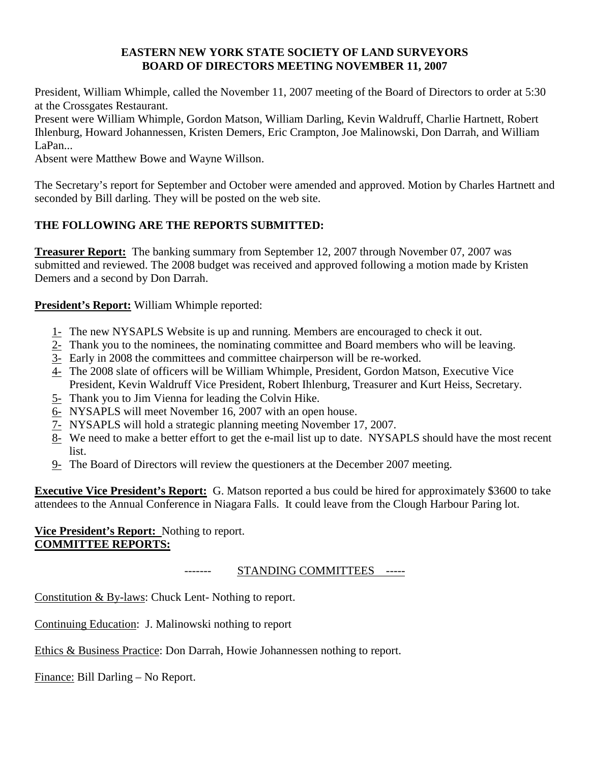#### **EASTERN NEW YORK STATE SOCIETY OF LAND SURVEYORS BOARD OF DIRECTORS MEETING NOVEMBER 11, 2007**

President, William Whimple, called the November 11, 2007 meeting of the Board of Directors to order at 5:30 at the Crossgates Restaurant.

Present were William Whimple, Gordon Matson, William Darling, Kevin Waldruff, Charlie Hartnett, Robert Ihlenburg, Howard Johannessen, Kristen Demers, Eric Crampton, Joe Malinowski, Don Darrah, and William LaPan...

Absent were Matthew Bowe and Wayne Willson.

The Secretary's report for September and October were amended and approved. Motion by Charles Hartnett and seconded by Bill darling. They will be posted on the web site.

# **THE FOLLOWING ARE THE REPORTS SUBMITTED:**

**Treasurer Report:** The banking summary from September 12, 2007 through November 07, 2007 was submitted and reviewed. The 2008 budget was received and approved following a motion made by Kristen Demers and a second by Don Darrah.

## **President's Report:** William Whimple reported:

- 1- The new NYSAPLS Website is up and running. Members are encouraged to check it out.
- 2- Thank you to the nominees, the nominating committee and Board members who will be leaving.
- 3- Early in 2008 the committees and committee chairperson will be re-worked.
- 4- The 2008 slate of officers will be William Whimple, President, Gordon Matson, Executive Vice President, Kevin Waldruff Vice President, Robert Ihlenburg, Treasurer and Kurt Heiss, Secretary.
- 5- Thank you to Jim Vienna for leading the Colvin Hike.
- 6- NYSAPLS will meet November 16, 2007 with an open house.
- 7- NYSAPLS will hold a strategic planning meeting November 17, 2007.
- 8- We need to make a better effort to get the e-mail list up to date. NYSAPLS should have the most recent list.
- 9- The Board of Directors will review the questioners at the December 2007 meeting.

**Executive Vice President's Report:** G. Matson reported a bus could be hired for approximately \$3600 to take attendees to the Annual Conference in Niagara Falls. It could leave from the Clough Harbour Paring lot.

## **Vice President's Report:** Nothing to report. **COMMITTEE REPORTS:**

### ------- STANDING COMMITTEES -----

Constitution & By-laws: Chuck Lent- Nothing to report.

Continuing Education: J. Malinowski nothing to report

Ethics & Business Practice: Don Darrah, Howie Johannessen nothing to report.

Finance: Bill Darling – No Report.